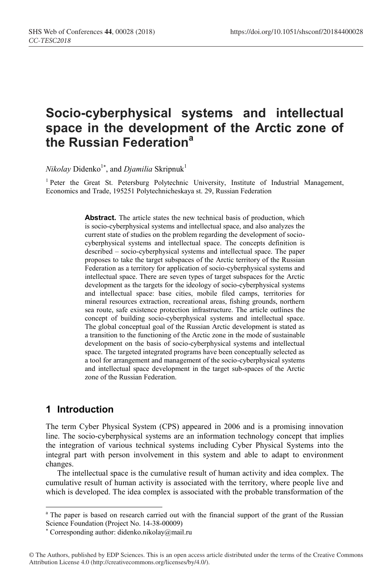# **Socio-cyberphysical systems and intellectual space in the development of the Arctic zone of the Russian Federation<sup>a</sup>**

*Nikolay* Didenko<sup>1\*</sup>, and *Djamilia* Skripnuk<sup>1</sup>

<sup>1</sup> Peter the Great St. Petersburg Polytechnic University, Institute of Industrial Management, Economics and Trade, 195251 Polytechnicheskaya st. 29, Russian Federation

> Abstract. The article states the new technical basis of production, which is socio-cyberphysical systems and intellectual space, and also analyzes the current state of studies on the problem regarding the development of sociocyberphysical systems and intellectual space. The concepts definition is described – socio-cyberphysical systems and intellectual space. The paper proposes to take the target subspaces of the Arctic territory of the Russian Federation as a territory for application of socio-cyberphysical systems and intellectual space. There are seven types of target subspaces for the Arctic development as the targets for the ideology of socio-cyberphysical systems and intellectual space: base cities, mobile filed camps, territories for mineral resources extraction, recreational areas, fishing grounds, northern sea route, safe existence protection infrastructure. The article outlines the concept of building socio-cyberphysical systems and intellectual space. The global conceptual goal of the Russian Arctic development is stated as a transition to the functioning of the Arctic zone in the mode of sustainable development on the basis of socio-cyberphysical systems and intellectual space. The targeted integrated programs have been conceptually selected as a tool for arrangement and management of the socio-cyberphysical systems and intellectual space development in the target sub-spaces of the Arctic zone of the Russian Federation.

## **1 Introduction**

The term Cyber Physical System (CPS) appeared in 2006 and is a promising innovation line. The socio-cyberphysical systems are an information technology concept that implies the integration of various technical systems including Cyber Physical Systems into the integral part with person involvement in this system and able to adapt to environment changes.

The intellectual space is the cumulative result of human activity and idea complex. The cumulative result of human activity is associated with the territory, where people live and which is developed. The idea complex is associated with the probable transformation of the

<sup>&</sup>lt;sup>a</sup> The paper is based on research carried out with the financial support of the grant of the Russian Science Foundation (Project No. 14-38-00009)<br>\* Corresponding author: didenko.nikolay@mail.ru

<sup>©</sup> The Authors, published by EDP Sciences. This is an open access article distributed under the terms of the Creative Commons Attribution License 4.0 (http://creativecommons.org/licenses/by/4.0/).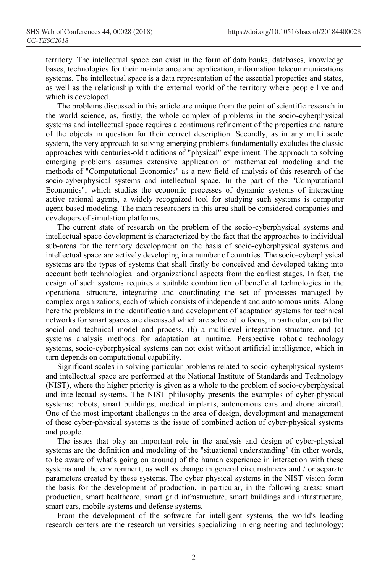territory. The intellectual space can exist in the form of data banks, databases, knowledge bases, technologies for their maintenance and application, information telecommunications systems. The intellectual space is a data representation of the essential properties and states, as well as the relationship with the external world of the territory where people live and which is developed.

The problems discussed in this article are unique from the point of scientific research in the world science, as, firstly, the whole complex of problems in the socio-cyberphysical systems and intellectual space requires a continuous refinement of the properties and nature of the objects in question for their correct description. Secondly, as in any multi scale system, the very approach to solving emerging problems fundamentally excludes the classic approaches with centuries-old traditions of "physical" experiment. The approach to solving emerging problems assumes extensive application of mathematical modeling and the methods of "Computational Economics" as a new field of analysis of this research of the socio-cyberphysical systems and intellectual space. In the part of the "Computational Economics", which studies the economic processes of dynamic systems of interacting active rational agents, a widely recognized tool for studying such systems is computer agent-based modeling. The main researchers in this area shall be considered companies and developers of simulation platforms.

The current state of research on the problem of the socio-cyberphysical systems and intellectual space development is characterized by the fact that the approaches to individual sub-areas for the territory development on the basis of socio-cyberphysical systems and intellectual space are actively developing in a number of countries. The socio-cyberphysical systems are the types of systems that shall firstly be conceived and developed taking into account both technological and organizational aspects from the earliest stages. In fact, the design of such systems requires a suitable combination of beneficial technologies in the operational structure, integrating and coordinating the set of processes managed by complex organizations, each of which consists of independent and autonomous units. Along here the problems in the identification and development of adaptation systems for technical networks for smart spaces are discussed which are selected to focus, in particular, on (a) the social and technical model and process, (b) a multilevel integration structure, and (c) systems analysis methods for adaptation at runtime. Perspective robotic technology systems, socio-cyberphysical systems can not exist without artificial intelligence, which in turn depends on computational capability.

Significant scales in solving particular problems related to socio-cyberphysical systems and intellectual space are performed at the National Institute of Standards and Technology (NIST), where the higher priority is given as a whole to the problem of socio-cyberphysical and intellectual systems. The NIST philosophy presents the examples of cyber-physical systems: robots, smart buildings, medical implants, autonomous cars and drone aircraft. One of the most important challenges in the area of design, development and management of these cyber-physical systems is the issue of combined action of cyber-physical systems and people.

The issues that play an important role in the analysis and design of cyber-physical systems are the definition and modeling of the "situational understanding" (in other words, to be aware of what's going on around) of the human experience in interaction with these systems and the environment, as well as change in general circumstances and / or separate parameters created by these systems. The cyber physical systems in the NIST vision form the basis for the development of production, in particular, in the following areas: smart production, smart healthcare, smart grid infrastructure, smart buildings and infrastructure, smart cars, mobile systems and defense systems.

From the development of the software for intelligent systems, the world's leading research centers are the research universities specializing in engineering and technology: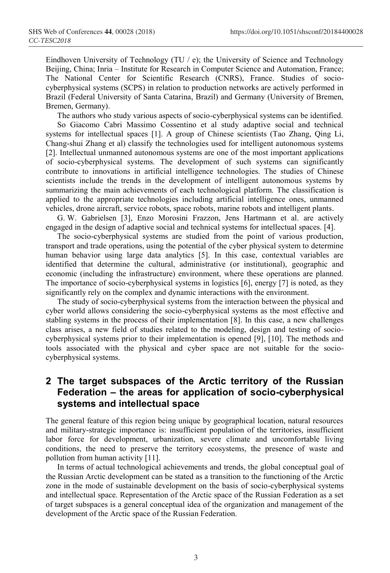Eindhoven University of Technology (TU  $/$  e); the University of Science and Technology Beijing, China; Inria – Institute for Research in Computer Science and Automation, France; The National Center for Scientific Research (CNRS), France. Studies of sociocyberphysical systems (SCPS) in relation to production networks are actively performed in Brazil (Federal University of Santa Catarina, Brazil) and Germany (University of Bremen, Bremen, Germany).

The authors who study various aspects of socio-cyberphysical systems can be identified.

So Giacomo Cabri Massimo Cossentino et al study adaptive social and technical systems for intellectual spaces [1]. A group of Chinese scientists (Tao Zhang, Qing Li, Chang-shui Zhang et al) classify the technologies used for intelligent autonomous systems [2]. Intellectual unmanned autonomous systems are one of the most important applications of socio-cyberphysical systems. The development of such systems can significantly contribute to innovations in artificial intelligence technologies. The studies of Chinese scientists include the trends in the development of intelligent autonomous systems by summarizing the main achievements of each technological platform. The classification is applied to the appropriate technologies including artificial intelligence ones, unmanned vehicles, drone aircraft, service robots, space robots, marine robots and intelligent plants.

G. W. Gabrielsen [3], Enzo Morosini Frazzon, Jens Hartmann et al. are actively engaged in the design of adaptive social and technical systems for intellectual spaces. [4].

The socio-cyberphysical systems are studied from the point of various production, transport and trade operations, using the potential of the cyber physical system to determine human behavior using large data analytics [5]. In this case, contextual variables are identified that determine the cultural, administrative (or institutional), geographic and economic (including the infrastructure) environment, where these operations are planned. The importance of socio-cyberphysical systems in logistics [6], energy [7] is noted, as they significantly rely on the complex and dynamic interactions with the environment.

The study of socio-cyberphysical systems from the interaction between the physical and cyber world allows considering the socio-cyberphysical systems as the most effective and stabling systems in the process of their implementation [8]. In this case, a new challenges class arises, a new field of studies related to the modeling, design and testing of sociocyberphysical systems prior to their implementation is opened [9], [10]. The methods and tools associated with the physical and cyber space are not suitable for the sociocyberphysical systems.

### **2 The target subspaces of the Arctic territory of the Russian Federation – the areas for application of socio-cyberphysical systems and intellectual space**

The general feature of this region being unique by geographical location, natural resources and military-strategic importance is: insufficient population of the territories, insufficient labor force for development, urbanization, severe climate and uncomfortable living conditions, the need to preserve the territory ecosystems, the presence of waste and pollution from human activity [11].

In terms of actual technological achievements and trends, the global conceptual goal of the Russian Arctic development can be stated as a transition to the functioning of the Arctic zone in the mode of sustainable development on the basis of socio-cyberphysical systems and intellectual space. Representation of the Arctic space of the Russian Federation as a set of target subspaces is a general conceptual idea of the organization and management of the development of the Arctic space of the Russian Federation.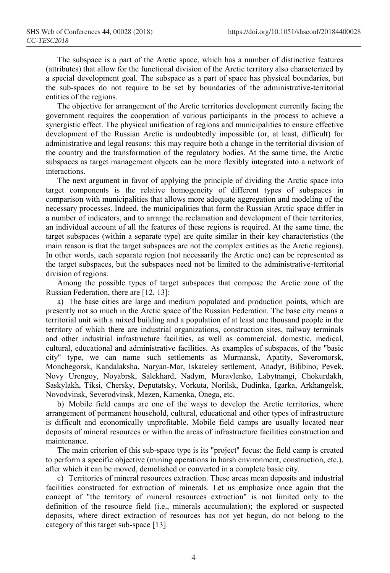The subspace is a part of the Arctic space, which has a number of distinctive features (attributes) that allow for the functional division of the Arctic territory also characterized by a special development goal. The subspace as a part of space has physical boundaries, but the sub-spaces do not require to be set by boundaries of the administrative-territorial entities of the regions.

The objective for arrangement of the Arctic territories development currently facing the government requires the cooperation of various participants in the process to achieve a synergistic effect. The physical unification of regions and municipalities to ensure effective development of the Russian Arctic is undoubtedly impossible (or, at least, difficult) for administrative and legal reasons: this may require both a change in the territorial division of the country and the transformation of the regulatory bodies. At the same time, the Arctic subspaces as target management objects can be more flexibly integrated into a network of interactions.

The next argument in favor of applying the principle of dividing the Arctic space into target components is the relative homogeneity of different types of subspaces in comparison with municipalities that allows more adequate aggregation and modeling of the necessary processes. Indeed, the municipalities that form the Russian Arctic space differ in a number of indicators, and to arrange the reclamation and development of their territories, an individual account of all the features of these regions is required. At the same time, the target subspaces (within a separate type) are quite similar in their key characteristics (the main reason is that the target subspaces are not the complex entities as the Arctic regions). In other words, each separate region (not necessarily the Arctic one) can be represented as the target subspaces, but the subspaces need not be limited to the administrative-territorial division of regions.

Among the possible types of target subspaces that compose the Arctic zone of the Russian Federation, there are [12, 13]:

a) The base cities are large and medium populated and production points, which are presently not so much in the Arctic space of the Russian Federation. The base city means a territorial unit with a mixed building and a population of at least one thousand people in the territory of which there are industrial organizations, construction sites, railway terminals and other industrial infrastructure facilities, as well as commercial, domestic, medical, cultural, educational and administrative facilities. As examples of subspaces, of the "basic city" type, we can name such settlements as Murmansk, Apatity, Severomorsk, Monchegorsk, Kandalaksha, Naryan-Mar, Iskateley settlement, Anadyr, Bilibino, Pevek, Novy Urengoy, Noyabrsk, Salekhard, Nadym, Muravlenko, Labytnangi, Chokurdakh, Saskylakh, Tiksi, Chersky, Deputatsky, Vorkuta, Norilsk, Dudinka, Igarka, Arkhangelsk, Novodvinsk, Severodvinsk, Mezen, Kamenka, Onega, etc.

b) Mobile field camps are one of the ways to develop the Arctic territories, where arrangement of permanent household, cultural, educational and other types of infrastructure is difficult and economically unprofitable. Mobile field camps are usually located near deposits of mineral resources or within the areas of infrastructure facilities construction and maintenance.

The main criterion of this sub-space type is its "project" focus: the field camp is created to perform a specific objective (mining operations in harsh environment, construction, etc.), after which it can be moved, demolished or converted in a complete basic city.

c) Territories of mineral resources extraction. These areas mean deposits and industrial facilities constructed for extraction of minerals. Let us emphasize once again that the concept of "the territory of mineral resources extraction" is not limited only to the definition of the resource field (i.e., minerals accumulation); the explored or suspected deposits, where direct extraction of resources has not yet begun, do not belong to the category of this target sub-space [13].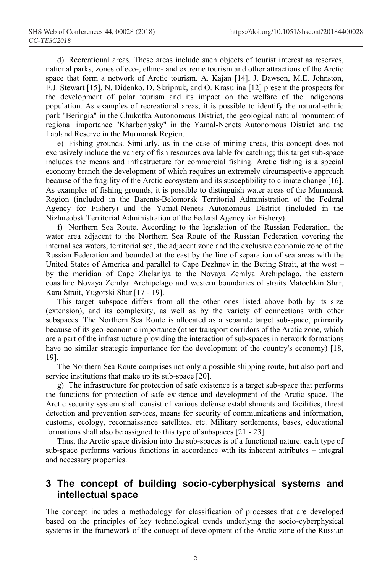d) Recreational areas. These areas include such objects of tourist interest as reserves, national parks, zones of eco-, ethno- and extreme tourism and other attractions of the Arctic space that form a network of Arctic tourism. A. Kajan [14], J. Dawson, M.E. Johnston, E.J. Stewart [15], N. Didenko, D. Skripnuk, and O. Krasulina [12] present the prospects for the development of polar tourism and its impact on the welfare of the indigenous population. As examples of recreational areas, it is possible to identify the natural-ethnic park "Beringia" in the Chukotka Autonomous District, the geological natural monument of regional importance "Kharberiysky" in the Yamal-Nenets Autonomous District and the Lapland Reserve in the Murmansk Region.

e) Fishing grounds. Similarly, as in the case of mining areas, this concept does not exclusively include the variety of fish resources available for catching; this target sub-space includes the means and infrastructure for commercial fishing. Arctic fishing is a special economy branch the development of which requires an extremely circumspective approach because of the fragility of the Arctic ecosystem and its susceptibility to climate change [16]. As examples of fishing grounds, it is possible to distinguish water areas of the Murmansk Region (included in the Barents-Belomorsk Territorial Administration of the Federal Agency for Fishery) and the Yamal-Nenets Autonomous District (included in the Nizhneobsk Territorial Administration of the Federal Agency for Fishery).

f) Northern Sea Route. According to the legislation of the Russian Federation, the water area adjacent to the Northern Sea Route of the Russian Federation covering the internal sea waters, territorial sea, the adjacent zone and the exclusive economic zone of the Russian Federation and bounded at the east by the line of separation of sea areas with the United States of America and parallel to Cape Dezhnev in the Bering Strait, at the west – by the meridian of Cape Zhelaniya to the Novaya Zemlya Archipelago, the eastern coastline Novaya Zemlya Archipelago and western boundaries of straits Matochkin Shar, Kara Strait, Yugorski Shar [17 - 19].

This target subspace differs from all the other ones listed above both by its size (extension), and its complexity, as well as by the variety of connections with other subspaces. The Northern Sea Route is allocated as a separate target sub-space, primarily because of its geo-economic importance (other transport corridors of the Arctic zone, which are a part of the infrastructure providing the interaction of sub-spaces in network formations have no similar strategic importance for the development of the country's economy) [18, 19].

The Northern Sea Route comprises not only a possible shipping route, but also port and service institutions that make up its sub-space [20].

g) The infrastructure for protection of safe existence is a target sub-space that performs the functions for protection of safe existence and development of the Arctic space. The Arctic security system shall consist of various defense establishments and facilities, threat detection and prevention services, means for security of communications and information, customs, ecology, reconnaissance satellites, etc. Military settlements, bases, educational formations shall also be assigned to this type of subspaces [21 - 23].

Thus, the Arctic space division into the sub-spaces is of a functional nature: each type of sub-space performs various functions in accordance with its inherent attributes – integral and necessary properties.

### **3 The concept of building socio-cyberphysical systems and intellectual space**

The concept includes a methodology for classification of processes that are developed based on the principles of key technological trends underlying the socio-cyberphysical systems in the framework of the concept of development of the Arctic zone of the Russian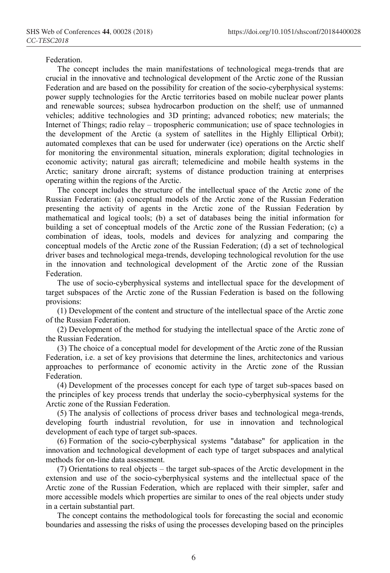Federation.

The concept includes the main manifestations of technological mega-trends that are crucial in the innovative and technological development of the Arctic zone of the Russian Federation and are based on the possibility for creation of the socio-cyberphysical systems: power supply technologies for the Arctic territories based on mobile nuclear power plants and renewable sources; subsea hydrocarbon production on the shelf; use of unmanned vehicles; additive technologies and 3D printing; advanced robotics; new materials; the Internet of Things; radio relay – tropospheric communication; use of space technologies in the development of the Arctic (a system of satellites in the Highly Elliptical Orbit); automated complexes that can be used for underwater (ice) operations on the Arctic shelf for monitoring the environmental situation, minerals exploration; digital technologies in economic activity; natural gas aircraft; telemedicine and mobile health systems in the Arctic; sanitary drone aircraft; systems of distance production training at enterprises operating within the regions of the Arctic.

The concept includes the structure of the intellectual space of the Arctic zone of the Russian Federation: (a) conceptual models of the Arctic zone of the Russian Federation presenting the activity of agents in the Arctic zone of the Russian Federation by mathematical and logical tools; (b) a set of databases being the initial information for building a set of conceptual models of the Arctic zone of the Russian Federation; (c) a combination of ideas, tools, models and devices for analyzing and comparing the conceptual models of the Arctic zone of the Russian Federation; (d) a set of technological driver bases and technological mega-trends, developing technological revolution for the use in the innovation and technological development of the Arctic zone of the Russian Federation.

The use of socio-cyberphysical systems and intellectual space for the development of target subspaces of the Arctic zone of the Russian Federation is based on the following provisions:

(1) Development of the content and structure of the intellectual space of the Arctic zone of the Russian Federation.

(2) Development of the method for studying the intellectual space of the Arctic zone of the Russian Federation.

(3) The choice of a conceptual model for development of the Arctic zone of the Russian Federation, i.e. a set of key provisions that determine the lines, architectonics and various approaches to performance of economic activity in the Arctic zone of the Russian Federation.

(4) Development of the processes concept for each type of target sub-spaces based on the principles of key process trends that underlay the socio-cyberphysical systems for the Arctic zone of the Russian Federation.

(5) The analysis of collections of process driver bases and technological mega-trends, developing fourth industrial revolution, for use in innovation and technological development of each type of target sub-spaces.

(6) Formation of the socio-cyberphysical systems "database" for application in the innovation and technological development of each type of target subspaces and analytical methods for on-line data assessment.

(7) Orientations to real objects – the target sub-spaces of the Arctic development in the extension and use of the socio-cyberphysical systems and the intellectual space of the Arctic zone of the Russian Federation, which are replaced with their simpler, safer and more accessible models which properties are similar to ones of the real objects under study in a certain substantial part.

The concept contains the methodological tools for forecasting the social and economic boundaries and assessing the risks of using the processes developing based on the principles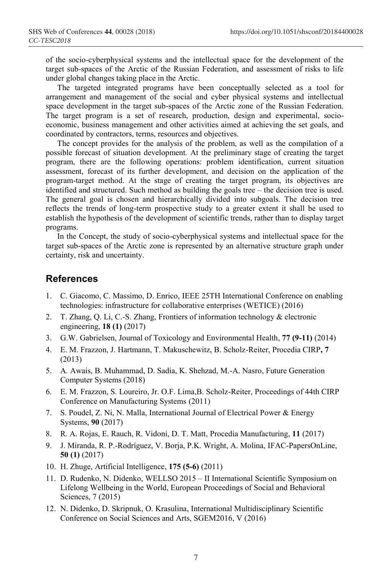of the socio-cyberphysical systems and the intellectual space for the development of the target sub-spaces of the Arctic of the Russian Federation, and assessment of risks to life under global changes taking place in the Arctic.

The targeted integrated programs have been conceptually selected as a tool for arrangement and management of the social and cyber physical systems and intellectual space development in the target sub-spaces of the Arctic zone of the Russian Federation. The target program is a set of research, production, design and experimental, socioeconomic, business management and other activities aimed at achieving the set goals, and coordinated by contractors, terms, resources and objectives.

The concept provides for the analysis of the problem, as well as the compilation of a possible forecast of situation development. At the preliminary stage of creating the target program, there are the following operations: problem identification, current situation assessment, forecast of its further development, and decision on the application of the program-target method. At the stage of creating the target program, its objectives are identified and structured. Such method as building the goals tree – the decision tree is used. The general goal is chosen and hierarchically divided into subgoals. The decision tree reflects the trends of long-term prospective study to a greater extent it shall be used to establish the hypothesis of the development of scientific trends, rather than to display target programs.

In the Concept, the study of socio-cyberphysical systems and intellectual space for the target sub-spaces of the Arctic zone is represented by an alternative structure graph under certainty, risk and uncertainty.

#### **References**

- 1. C. Giacomo, C. Massimo, D. Enrico, IEEE 25TH International Conference on enabling technologies: infrastructure for collaborative enterprises (WETICE) (2016)
- 2. T. Zhang, Q. Li, C.-S. Zhang, Frontiers of information technology & electronic engineering, **18 (1)** (2017)
- 3. G.W. Gabrielsen, Journal of Toxicology and Environmental Health, **77 (9-11)** (2014)
- 4. E. M. Frazzon, J. Hartmann, T. Makuschewitz, B. Scholz-Reiter, Procedia CIRP**, 7** (2013)
- 5. A. Awais, B. Muhammad, D. Sadia, K. Shehzad, M.-A. Nasro, Future Generation Computer Systems (2018)
- 6. E. M. Frazzon, S. Loureiro, Jr. O.F. Lima,B. Scholz-Reiter, Proceedings of 44th CIRP Conference on Manufacturing Systems (2011)
- 7. S. Poudel, Z. Ni, N. Malla, International Journal of Electrical Power & Energy Systems, **90** (2017)
- 8. R. A. Rojas, E. Rauch, R. Vidoni, D. T. Matt, Procedia Manufacturing, **11** (2017)
- 9. J. Miranda, R. P.-Rodríguez, V. Borja, P.K. Wright, A. Molina, IFAC-PapersOnLine, **50 (1)** (2017)
- 10. H. Zhuge, Artificial Intelligence, **175 (5-6)** (2011)
- 11. D. Rudenko, N. Didenko, WELLSO 2015 II International Scientific Symposium on Lifelong Wellbeing in the World, European Proceedings of Social and Behavioral Sciences, 7 (2015)
- 12. N. Didenko, D. Skripnuk, O. Krasulina, International Multidisciplinary Scientific Conference on Social Sciences and Arts, SGEM2016, V (2016)